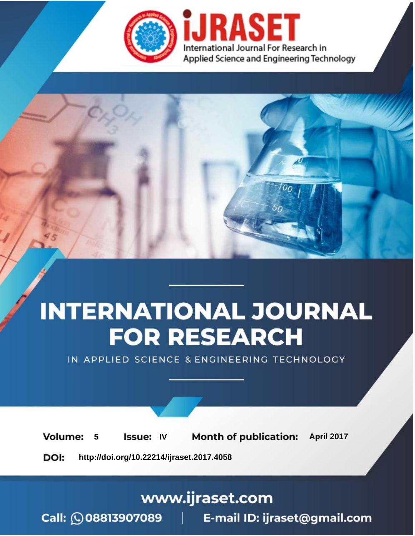

# **INTERNATIONAL JOURNAL FOR RESEARCH**

IN APPLIED SCIENCE & ENGINEERING TECHNOLOGY

**5 Issue: IV Month of publication:** April 2017 **Volume:** 

**http://doi.org/10.22214/ijraset.2017.4058**DOI:

www.ijraset.com

Call: 008813907089 | E-mail ID: ijraset@gmail.com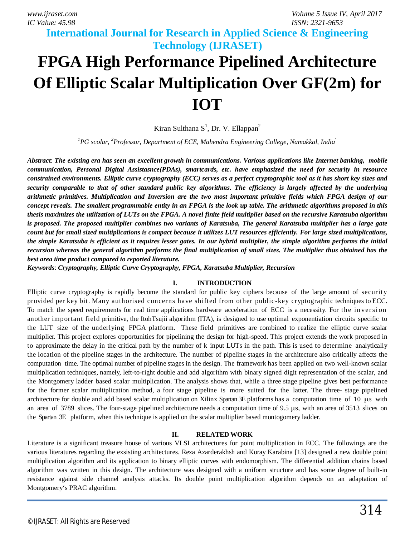**International Journal for Research in Applied Science & Engineering** 

# **Technology (IJRASET) FPGA High Performance Pipelined Architecture Of Elliptic Scalar Multiplication Over GF(2m) for IOT**

Kiran Sulthana  $S^1$ , Dr. V. Ellappan<sup>2</sup>

*<sup>1</sup>PG scolar, <sup>2</sup>Professor, Department of ECE, Mahendra Engineering College, Namakkal, India .*

*Abstract*: *The existing era has seen an excellent growth in communications. Various applications like Internet banking, mobile communication, Personal Digital Assistasnce(PDAs), smartcards, etc. have emphasized the need for security in resource constrained environments. Elliptic curve cryptography (ECC) serves as a perfect cryptographic tool as it has short key sizes and security comparable to that of other standard public key algorithms. The efficiency is largely affected by the underlying arithmetic primitives. Multiplication and Inversion are the two most important primitive fields which FPGA design of our concept reveals. The smallest programmable entity in an FPGA is the look up table. The arithmetic algorithms proposed in this thesis maximizes the utilization of LUTs on the FPGA. A novel finite field multiplier based on the recursive Karatsuba algorithm is proposed. The proposed multiplier combines two variants of Karatsuba, The general Karatsuba multiplier has a large gate count but for small sized multiplications is compact because it utilizes LUT resources efficiently. For large sized multiplications, the simple Karatsuba is efficient as it requires lesser gates. In our hybrid multiplier, the simple algorithm performs the initial recursion whereas the general algorithm performs the final multiplication of small sizes. The multiplier thus obtained has the best area time product compared to reported literature.* 

*Keywords*: *Cryptography, Elliptic Curve Cryptography, FPGA, Karatsuba Multiplier, Recursion* 

### **I. INTRODUCTION**

Elliptic curve cryptography is rapidly become the standard for public key ciphers because of the large amount of security provided per key bit. Many authorised concerns have shifted from other public-key cryptographic techniques to ECC. To match the speed requirements for real time applications hardware acceleration of ECC is a necessity. For the inversion another important field primitive, the ItohTsujii algorithm (ITA), is designed to use optimal exponentiation circuits specific to the LUT size of the underlying FPGA platform. These field primitives are combined to realize the elliptic curve scalar multiplier. This project explores opportunities for pipelining the design for high-speed. This project extends the work proposed in to approximate the delay in the critical path by the number of k input LUTs in the path. This is used to determine analytically the location of the pipeline stages in the architecture. The number of pipeline stages in the architecture also critically affects the computation time. The optimal number of pipeline stages in the design. The framework has been applied on two well-known scalar multiplication techniques, namely, left-to-right double and add algorithm with binary signed digit representation of the scalar, and the Montgomery ladder based scalar multiplication. The analysis shows that, while a three stage pipeline gives best performance for the former scalar multiplication method, a four stage pipeline is more suited for the latter. The three- stage pipelined architecture for double and add based scalar multiplication on Xilinx Spartan 3E platforms has a computation time of 10 μ<sup>s</sup> with an area of 3789 slices. The four-stage pipelined architecture needs a computation time of 9.5 μs, with an area of 3513 slices on the Spartan 3E platform, when this technique is applied on the scalar multiplier based montogomery ladder.

### **II. RELATED WORK**

Literature is a significant treasure house of various VLSI architectures for point multiplication in ECC. The followings are the various literatures regarding the exsisting architectures. Reza Azarderakhsh and Koray Karabina [13] designed a new double point multiplication algorithm and its application to binary elliptic curves with endomorphism. The differential addition chains based algorithm was written in this design. The architecture was designed with a uniform structure and has some degree of built-in resistance against side channel analysis attacks. Its double point multiplication algorithm depends on an adaptation of Montgomery's PRAC algorithm.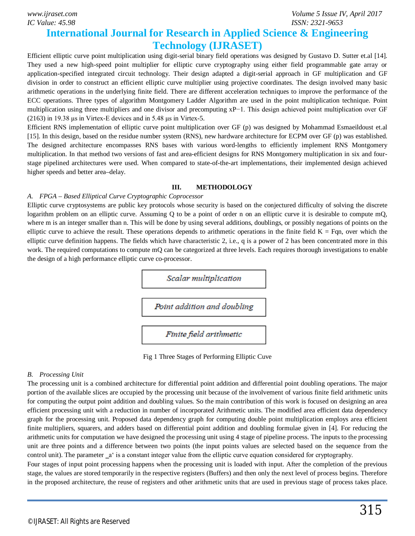*IC Value: 45.98 ISSN: 2321-9653*

*www.ijraset.com Volume 5 Issue IV, April 2017*

## **International Journal for Research in Applied Science & Engineering Technology (IJRASET)**

Efficient elliptic curve point multiplication using digit-serial binary field operations was designed by Gustavo D. Sutter et.al [14]. They used a new high-speed point multiplier for elliptic curve cryptography using either field programmable gate array or application-specified integrated circuit technology. Their design adapted a digit-serial approach in GF multiplication and GF division in order to construct an efficient elliptic curve multiplier using projective coordinates. The design involved many basic arithmetic operations in the underlying finite field. There are different acceleration techniques to improve the performance of the ECC operations. Three types of algorithm Montgomery Ladder Algorithm are used in the point multiplication technique. Point multiplication using three multipliers and one divisor and precomputing xP−1. This design achieved point multiplication over GF (2163) in 19.38 μs in Virtex-E devices and in 5.48 μs in Virtex-5.

Efficient RNS implementation of elliptic curve point multiplication over GF (p) was designed by Mohammad Esmaeildoust et.al [15]. In this design, based on the residue number system (RNS), new hardware architecture for ECPM over GF (p) was established. The designed architecture encompasses RNS bases with various word-lengths to efficiently implement RNS Montgomery multiplication. In that method two versions of fast and area-efficient designs for RNS Montgomery multiplication in six and fourstage pipelined architectures were used. When compared to state-of-the-art implementations, their implemented design achieved higher speeds and better area–delay.

#### **III. METHODOLOGY**

### *A. FPGA – Based Elliptical Curve Cryptographic Coprocessor*

Elliptic curve cryptosystems are public key protocols whose security is based on the conjectured difficulty of solving the discrete logarithm problem on an elliptic curve. Assuming Q to be a point of order n on an elliptic curve it is desirable to compute mQ, where m is an integer smaller than n. This will be done by using several additions, doublings, or possibly negations of points on the elliptic curve to achieve the result. These operations depends to arithmetic operations in the finite field  $K = Fqn$ , over which the elliptic curve definition happens. The fields which have characteristic 2, i.e., q is a power of 2 has been concentrated more in this work. The required computations to compute mQ can be categorized at three levels. Each requires thorough investigations to enable the design of a high performance elliptic curve co-processor.



Fig 1 Three Stages of Performing Elliptic Cuve

### *B. Processing Unit*

The processing unit is a combined architecture for differential point addition and differential point doubling operations. The major portion of the available slices are occupied by the processing unit because of the involvement of various finite field arithmetic units for computing the output point addition and doubling values. So the main contribution of this work is focused on designing an area efficient processing unit with a reduction in number of incorporated Arithmetic units. The modified area efficient data dependency graph for the processing unit. Proposed data dependency graph for computing double point multiplication employs area efficient finite multipliers, squarers, and adders based on differential point addition and doubling formulae given in [4]. For reducing the arithmetic units for computation we have designed the processing unit using 4 stage of pipeline process. The inputs to the processing unit are three points and a difference between two points (the input points values are selected based on the sequence from the control unit). The parameter  $a<sup>1</sup>$  is a constant integer value from the elliptic curve equation considered for cryptography.

Four stages of input point processing happens when the processing unit is loaded with input. After the completion of the previous stage, the values are stored temporarily in the respective registers (Buffers) and then only the next level of process begins. Therefore in the proposed architecture, the reuse of registers and other arithmetic units that are used in previous stage of process takes place.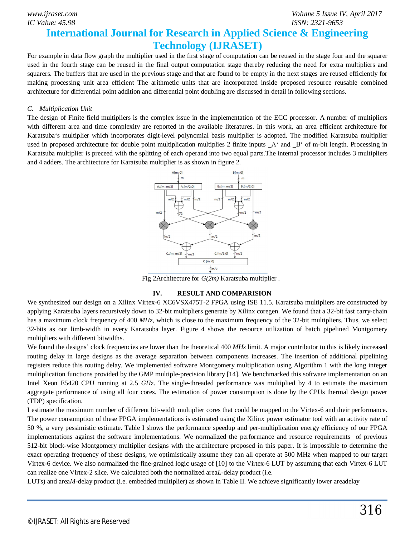## *IC Value: 45.98 ISSN: 2321-9653*

### **International Journal for Research in Applied Science & Engineering Technology (IJRASET)**

For example in data flow graph the multiplier used in the first stage of computation can be reused in the stage four and the squarer used in the fourth stage can be reused in the final output computation stage thereby reducing the need for extra multipliers and squarers. The buffers that are used in the previous stage and that are found to be empty in the next stages are reused efficiently for making processing unit area efficient The arithmetic units that are incorporated inside proposed resource reusable combined architecture for differential point addition and differential point doubling are discussed in detail in following sections.

### *C. Multiplication Unit*

The design of Finite field multipliers is the complex issue in the implementation of the ECC processor. A number of multipliers with different area and time complexity are reported in the available literatures. In this work, an area efficient architecture for Karatsuba's multiplier which incorporates digit-level polynomial basis multiplier is adopted. The modified Karatsuba multiplier used in proposed architecture for double point multiplication multiplies 2 finite inputs  $A^c$  and  $B^c$  of m-bit length. Processing in Karatsuba multiplier is preceed with the splitting of each operand into two equal parts.The internal processor includes 3 multipliers and 4 adders. The architecture for Karatsuba multiplier is as shown in figure 2.



Fig 2Architecture for *G(2m)* Karatsuba multiplier .

### **IV. RESULT AND COMPARISION**

We synthesized our design on a Xilinx Virtex-6 XC6VSX475T-2 FPGA using ISE 11.5. Karatsuba multipliers are constructed by applying Karatsuba layers recursively down to 32-bit multipliers generate by Xilinx coregen. We found that a 32-bit fast carry-chain has a maximum clock frequency of 400 *MHz*, which is close to the maximum frequency of the 32-bit multipliers. Thus, we select 32-bits as our limb-width in every Karatsuba layer. Figure 4 shows the resource utilization of batch pipelined Montgomery multipliers with different bitwidths.

We found the designs' clock frequencies are lower than the theoretical 400 *MHz* limit. A major contributor to this is likely increased routing delay in large designs as the average separation between components increases. The insertion of additional pipelining registers reduce this routing delay. We implemented software Montgomery multiplication using Algorithm 1 with the long integer multiplication functions provided by the GMP multiple-precision library [14]. We benchmarked this software implementation on an Intel Xeon E5420 CPU running at 2.5 *GHz*. The single-threaded performance was multiplied by 4 to estimate the maximum aggregate performance of using all four cores. The estimation of power consumption is done by the CPUs thermal design power (TDP) specification.

I estimate the maximum number of different bit-width multiplier cores that could be mapped to the Virtex-6 and their performance. The power consumption of these FPGA implementations is estimated using the Xilinx power estimator tool with an activity rate of 50 %, a very pessimistic estimate. Table I shows the performance speedup and per-multiplication energy efficiency of our FPGA implementations against the software implementations. We normalized the performance and resource requirements of previous 512-bit block-wise Montgomery multiplier designs with the architecture proposed in this paper. It is impossible to determine the exact operating frequency of these designs, we optimistically assume they can all operate at 500 MHz when mapped to our target Virtex-6 device. We also normalized the fine-grained logic usage of [10] to the Virtex-6 LUT by assuming that each Virtex-6 LUT can realize one Virtex-2 slice. We calculated both the normalized area*L*-delay product (i.e.

LUTs) and area*M*-delay product (i.e. embedded multiplier) as shown in Table II. We achieve significantly lower areadelay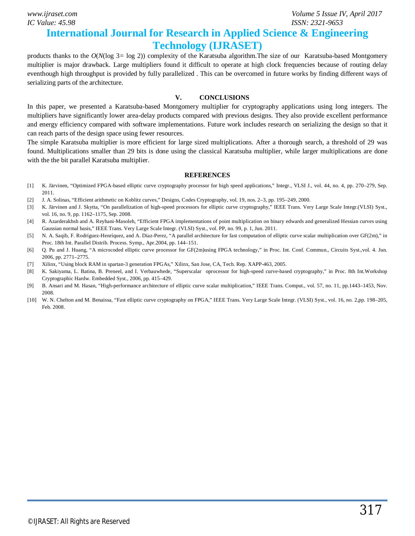*IC Value: 45.98 ISSN: 2321-9653*

*www.ijraset.com Volume 5 Issue IV, April 2017*

### **International Journal for Research in Applied Science & Engineering Technology (IJRASET)**

products thanks to the *O*(*N*(log 3*=* log 2)) complexity of the Karatsuba algorithm.The size of our Karatsuba-based Montgomery multiplier is major drawback. Large multipliers found it difficult to operate at high clock frequencies because of routing delay eventhough high throughput is provided by fully parallelized . This can be overcomed in future works by finding different ways of serializing parts of the architecture.

### **V. CONCLUSIONS**

In this paper, we presented a Karatsuba-based Montgomery multiplier for cryptography applications using long integers. The multipliers have significantly lower area-delay products compared with previous designs. They also provide excellent performance and energy efficiency compared with software implementations. Future work includes research on serializing the design so that it can reach parts of the design space using fewer resources.

The simple Karatsuba multiplier is more efficient for large sized multiplications. After a thorough search, a threshold of 29 was found. Multiplications smaller than 29 bits is done using the classical Karatsuba multiplier, while larger multiplications are done with the the bit parallel Karatsuba multiplier.

#### **REFERENCES**

- [1] K. Järvinen, "Optimized FPGA-based elliptic curve cryptography processor for high speed applications," Integr., VLSI J., vol. 44, no. 4, pp. 270–279, Sep. 2011.
- [2] J. A. Solinas, "Efficient arithmetic on Koblitz curves," Designs, Codes Cryptography, vol. 19, nos. 2–3, pp. 195–249, 2000.
- [3] K. Järvinen and J. Skytta, "On parallelization of high-speed processors for elliptic curve cryptography," IEEE Trans. Very Large Scale Integr.(VLSI) Syst., vol. 16, no. 9, pp. 1162–1175, Sep. 2008.
- [4] R. Azarderakhsh and A. Reyhani-Masoleh, "Efficient FPGA implementations of point multiplication on binary edwards and generalized Hessian curves using Gaussian normal basis," IEEE Trans. Very Large Scale Integr. (VLSI) Syst., vol. PP, no. 99, p. 1, Jun. 2011.
- [5] N. A. Saqib, F. Rodríguez-Henríquez, and A. Diaz-Perez, "A parallel architecture for fast computation of elliptic curve scalar multiplication over GF(2m)," in Proc. 18th Int. Parallel Distrib. Process. Symp., Apr.2004, pp. 144–151.
- [6] Q. Pu and J. Huang, "A microcoded elliptic curve processor for GF(2m)using FPGA technology," in Proc. Int. Conf. Commun., Circuits Syst.,vol. 4. Jun. 2006, pp. 2771–2775.
- [7] Xilinx, "Using block RAM in spartan-3 generation FPGAs," Xilinx, San Jose, CA, Tech. Rep. XAPP-463, 2005.
- [8] K. Sakiyama, L. Batina, B. Preneel, and I. Verbauwhede, "Superscalar oprocessor for high-speed curve-based cryptography," in Proc. 8th Int.Workshop Cryptographic Hardw. Embedded Syst., 2006, pp. 415–429.
- [9] B. Ansari and M. Hasan, "High-performance architecture of elliptic curve scalar multiplication," IEEE Trans. Comput., vol. 57, no. 11, pp.1443–1453, Nov. 2008.
- [10] W. N. Chelton and M. Benaissa, "Fast elliptic curve cryptography on FPGA," IEEE Trans. Very Large Scale Integr. (VLSI) Syst., vol. 16, no. 2,pp. 198–205, Feb. 2008.